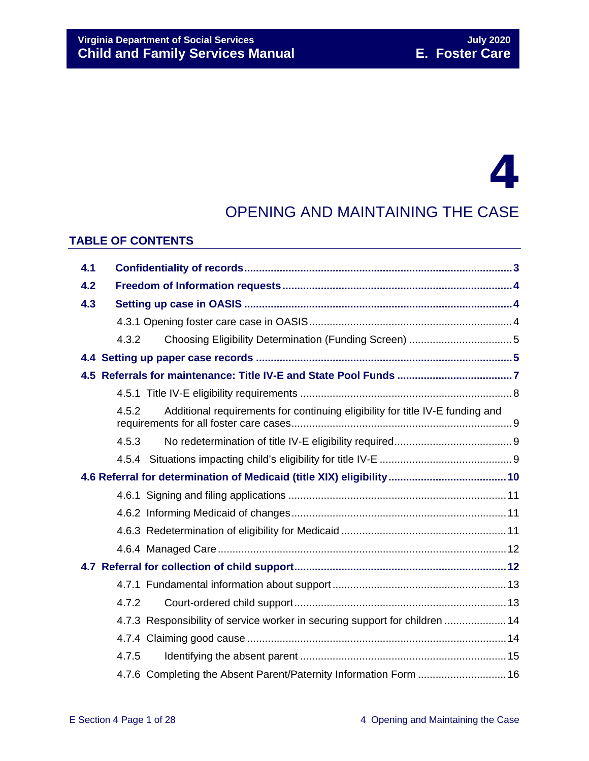# 4

## OPENING AND MAINTAINING THE CASE

### **TABLE OF CONTENTS**

| 4.1 |                                                                                        |  |
|-----|----------------------------------------------------------------------------------------|--|
| 4.2 |                                                                                        |  |
| 4.3 |                                                                                        |  |
|     |                                                                                        |  |
|     | 4.3.2                                                                                  |  |
|     |                                                                                        |  |
|     |                                                                                        |  |
|     |                                                                                        |  |
|     | Additional requirements for continuing eligibility for title IV-E funding and<br>4.5.2 |  |
|     | 4.5.3                                                                                  |  |
|     |                                                                                        |  |
|     |                                                                                        |  |
|     |                                                                                        |  |
|     |                                                                                        |  |
|     |                                                                                        |  |
|     |                                                                                        |  |
|     |                                                                                        |  |
|     |                                                                                        |  |
|     | 4.7.2                                                                                  |  |
|     | 4.7.3 Responsibility of service worker in securing support for children  14            |  |
|     |                                                                                        |  |
|     | 4.7.5                                                                                  |  |
|     | 4.7.6 Completing the Absent Parent/Paternity Information Form  16                      |  |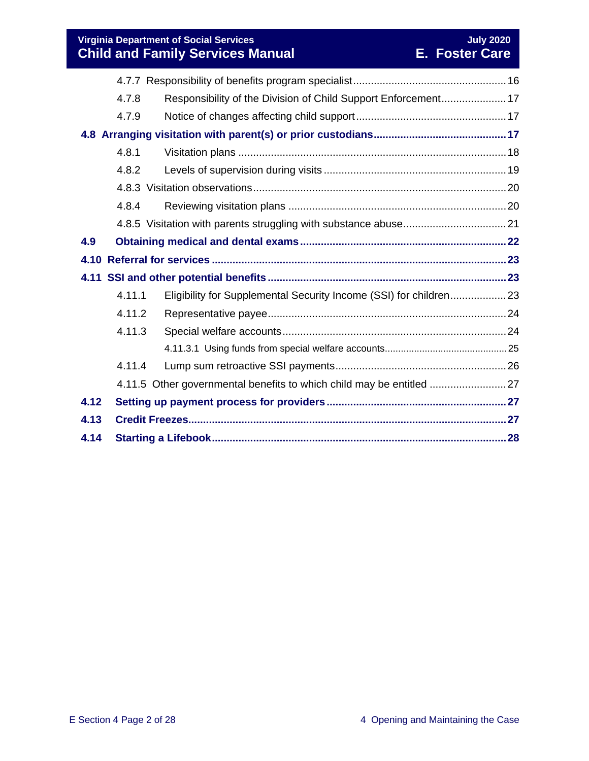**Virginia Department of Social Services**<br> **Child and Family Services Manual L. Foster Care Child and Family Services Manual** 

|      | 4.7.8  | Responsibility of the Division of Child Support Enforcement 17       |  |
|------|--------|----------------------------------------------------------------------|--|
|      | 4.7.9  |                                                                      |  |
|      |        |                                                                      |  |
|      | 4.8.1  |                                                                      |  |
|      | 4.8.2  |                                                                      |  |
|      |        |                                                                      |  |
|      | 4.8.4  |                                                                      |  |
|      |        |                                                                      |  |
| 4.9  |        |                                                                      |  |
|      |        |                                                                      |  |
|      |        |                                                                      |  |
|      |        |                                                                      |  |
|      | 4.11.1 | Eligibility for Supplemental Security Income (SSI) for children 23   |  |
|      | 4.11.2 |                                                                      |  |
|      | 4.11.3 |                                                                      |  |
|      |        |                                                                      |  |
|      | 4.11.4 |                                                                      |  |
|      |        | 4.11.5 Other governmental benefits to which child may be entitled 27 |  |
| 4.12 |        |                                                                      |  |
| 4.13 |        |                                                                      |  |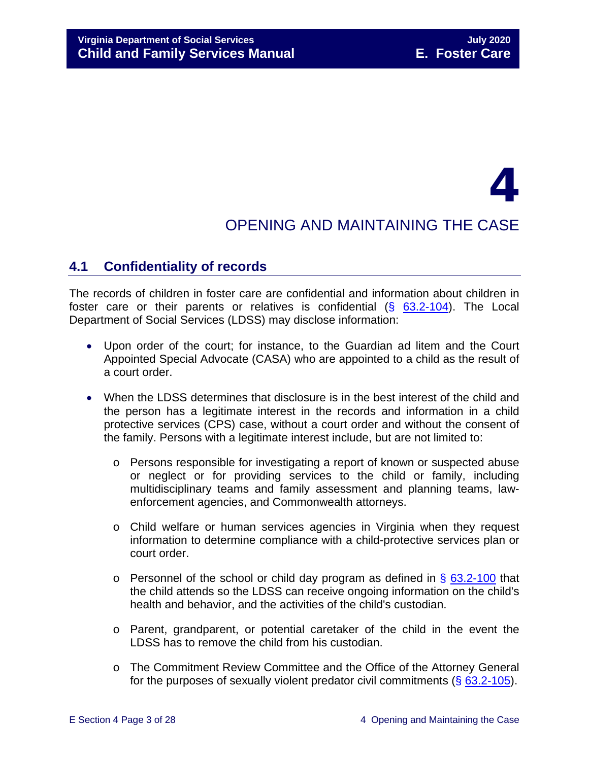# 4

## OPENING AND MAINTAINING THE CASE

## <span id="page-2-0"></span>**4.1 Confidentiality of records**

The records of children in foster care are confidential and information about children in foster care or their parents or relatives is confidential  $(§ 63.2-104)$  $(§ 63.2-104)$ . The Local Department of Social Services (LDSS) may disclose information:

- Upon order of the court; for instance, to the Guardian ad litem and the Court Appointed Special Advocate (CASA) who are appointed to a child as the result of a court order.
- When the LDSS determines that disclosure is in the best interest of the child and the person has a legitimate interest in the records and information in a child protective services (CPS) case, without a court order and without the consent of the family. Persons with a legitimate interest include, but are not limited to:
	- o Persons responsible for investigating a report of known or suspected abuse or neglect or for providing services to the child or family, including multidisciplinary teams and family assessment and planning teams, lawenforcement agencies, and Commonwealth attorneys.
	- o Child welfare or human services agencies in Virginia when they request information to determine compliance with a child-protective services plan or court order.
	- $\circ$  Personnel of the school or child day program as defined in § [63.2-100](https://law.lis.virginia.gov/vacode/63.2-100/) that the child attends so the LDSS can receive ongoing information on the child's health and behavior, and the activities of the child's custodian.
	- o Parent, grandparent, or potential caretaker of the child in the event the LDSS has to remove the child from his custodian.
	- o The Commitment Review Committee and the Office of the Attorney General for the purposes of sexually violent predator civil commitments (§ [63.2-105\)](https://law.lis.virginia.gov/vacode/63.2-105/).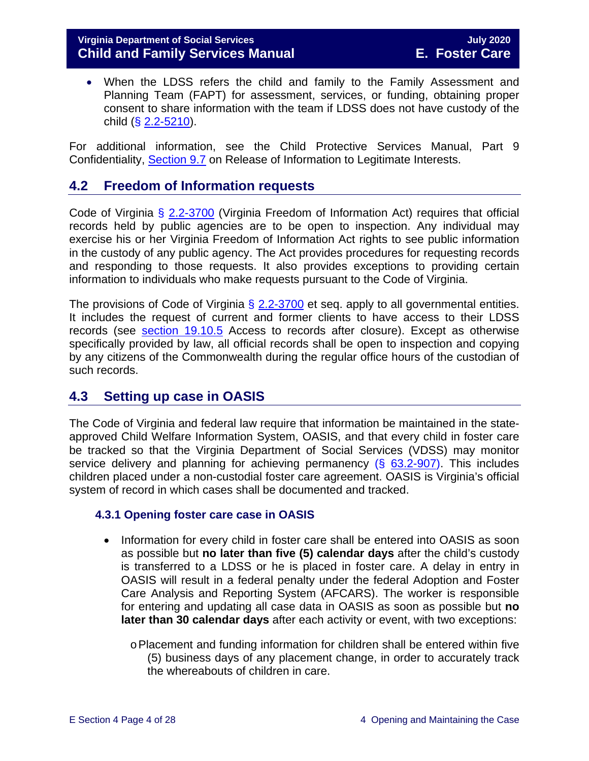#### **Virginia Department of Social Services July 2020 Child and Family Services Manual E. Foster Care**

• When the LDSS refers the child and family to the Family Assessment and Planning Team (FAPT) for assessment, services, or funding, obtaining proper consent to share information with the team if LDSS does not have custody of the child  $(**§** 2.2-5210).$  $(**§** 2.2-5210).$  $(**§** 2.2-5210).$ 

For additional information, see the Child Protective Services Manual, Part 9 Confidentiality, [Section 9.7](https://fusion.dss.virginia.gov/Portals/%5Bdfs%5D/Files/DFS%20Manuals/CPS%20Manuals/Manual--2019/section_9_confidentiality%20August%202019.pdf#page=19) on Release of Information to Legitimate Interests.

## <span id="page-3-0"></span>**4.2 Freedom of Information requests**

Code of Virginia § [2.2-3700](https://law.lis.virginia.gov/vacode/2.2-3700/) (Virginia Freedom of Information Act) requires that official records held by public agencies are to be open to inspection. Any individual may exercise his or her Virginia Freedom of Information Act rights to see public information in the custody of any public agency. The Act provides procedures for requesting records and responding to those requests. It also provides exceptions to providing certain information to individuals who make requests pursuant to the Code of Virginia.

The provisions of Code of Virginia  $\S$  [2.2-3700](https://law.lis.virginia.gov/vacode/2.2-3700/) et seq. apply to all governmental entities. It includes the request of current and former clients to have access to their LDSS records (see [section 19.10.5](https://fusion.dss.virginia.gov/Portals/%5bdfs%5d/Files/DFS%20Manuals/Foster%20Care%20Manuals/Foster%20Care%20Manual%2007-2020/Final%20Foster%20Care%20Manual%2007-2020/section_19_closing_a_case_to_foster_care.pdf#page=6) Access to records after closure). Except as otherwise specifically provided by law, all official records shall be open to inspection and copying by any citizens of the Commonwealth during the regular office hours of the custodian of such records.

## <span id="page-3-1"></span>**4.3 Setting up case in OASIS**

The Code of Virginia and federal law require that information be maintained in the stateapproved Child Welfare Information System, OASIS, and that every child in foster care be tracked so that the Virginia Department of Social Services (VDSS) may monitor service delivery and planning for achieving permanency  $(\S$  [63.2-907\)](https://law.lis.virginia.gov/vacode/63.2-907/). This includes children placed under a non-custodial foster care agreement. OASIS is Virginia's official system of record in which cases shall be documented and tracked.

#### <span id="page-3-2"></span>**4.3.1 Opening foster care case in OASIS**

- Information for every child in foster care shall be entered into OASIS as soon as possible but **no later than five (5) calendar days** after the child's custody is transferred to a LDSS or he is placed in foster care. A delay in entry in OASIS will result in a federal penalty under the federal Adoption and Foster Care Analysis and Reporting System (AFCARS). The worker is responsible for entering and updating all case data in OASIS as soon as possible but **no later than 30 calendar days** after each activity or event, with two exceptions:
	- oPlacement and funding information for children shall be entered within five (5) business days of any placement change, in order to accurately track the whereabouts of children in care.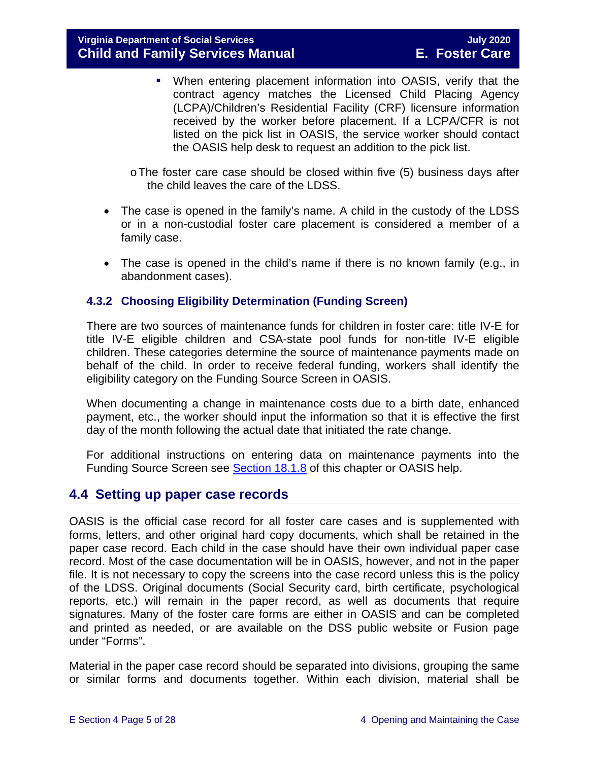When entering placement information into OASIS, verify that the contract agency matches the Licensed Child Placing Agency (LCPA)/Children's Residential Facility (CRF) licensure information received by the worker before placement. If a LCPA/CFR is not listed on the pick list in OASIS, the service worker should contact the OASIS help desk to request an addition to the pick list.

oThe foster care case should be closed within five (5) business days after the child leaves the care of the LDSS.

- The case is opened in the family's name. A child in the custody of the LDSS or in a non-custodial foster care placement is considered a member of a family case.
- The case is opened in the child's name if there is no known family (e.g., in abandonment cases).

#### <span id="page-4-0"></span>**4.3.2 Choosing Eligibility Determination (Funding Screen)**

There are two sources of maintenance funds for children in foster care: title IV-E for title IV-E eligible children and CSA-state pool funds for non-title IV-E eligible children. These categories determine the source of maintenance payments made on behalf of the child. In order to receive federal funding, workers shall identify the eligibility category on the Funding Source Screen in OASIS.

When documenting a change in maintenance costs due to a birth date, enhanced payment, etc., the worker should input the information so that it is effective the first day of the month following the actual date that initiated the rate change.

For additional instructions on entering data on maintenance payments into the Funding Source Screen see **Section 18.1.8** of this chapter or OASIS help.

## <span id="page-4-1"></span>**4.4 Setting up paper case records**

OASIS is the official case record for all foster care cases and is supplemented with forms, letters, and other original hard copy documents, which shall be retained in the paper case record. Each child in the case should have their own individual paper case record. Most of the case documentation will be in OASIS, however, and not in the paper file. It is not necessary to copy the screens into the case record unless this is the policy of the LDSS. Original documents (Social Security card, birth certificate, psychological reports, etc.) will remain in the paper record, as well as documents that require signatures. Many of the foster care forms are either in OASIS and can be completed and printed as needed, or are available on the DSS public website or Fusion page under "Forms".

Material in the paper case record should be separated into divisions, grouping the same or similar forms and documents together. Within each division, material shall be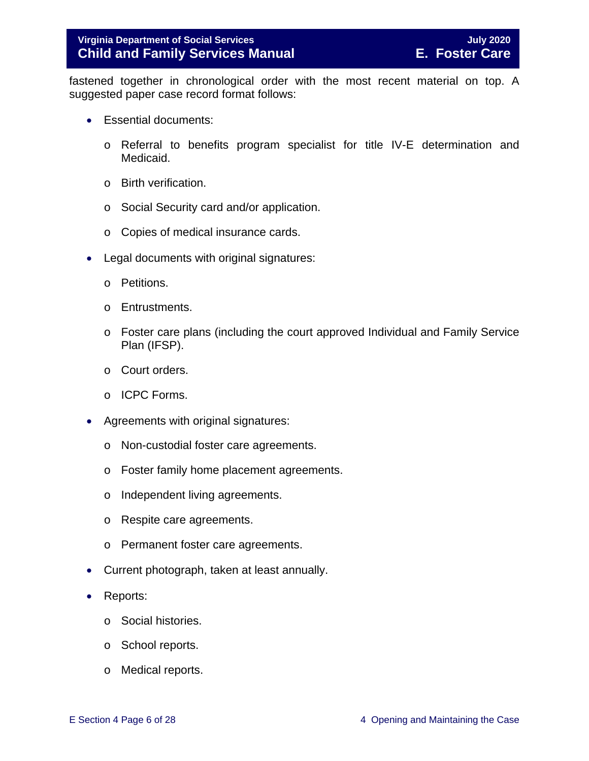fastened together in chronological order with the most recent material on top. A suggested paper case record format follows:

- Essential documents:
	- o Referral to benefits program specialist for title IV-E determination and Medicaid.
	- o Birth verification.
	- o Social Security card and/or application.
	- o Copies of medical insurance cards.
- Legal documents with original signatures:
	- o Petitions.
	- o Entrustments.
	- o Foster care plans (including the court approved Individual and Family Service Plan (IFSP).
	- o Court orders.
	- o ICPC Forms.
- Agreements with original signatures:
	- o Non-custodial foster care agreements.
	- o Foster family home placement agreements.
	- o Independent living agreements.
	- o Respite care agreements.
	- o Permanent foster care agreements.
- Current photograph, taken at least annually.
- Reports:
	- o Social histories.
	- o School reports.
	- o Medical reports.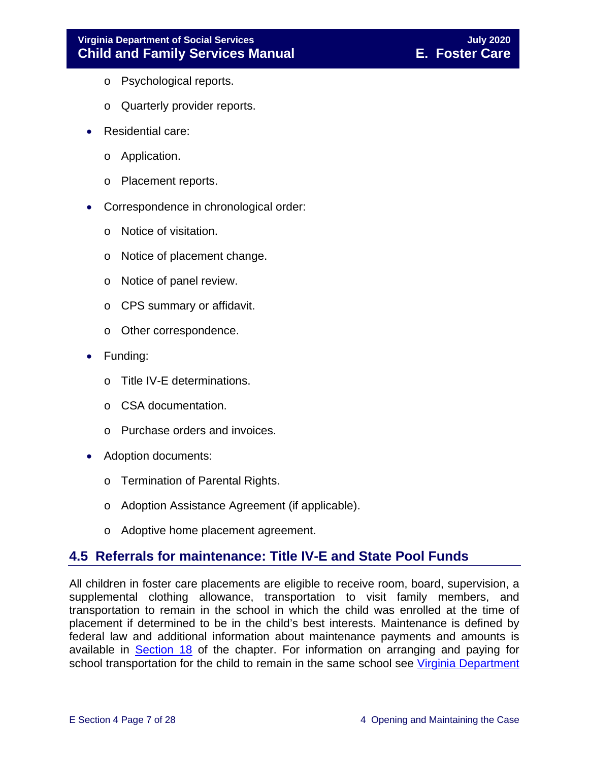- o Psychological reports.
- o Quarterly provider reports.
- Residential care:
	- o Application.
	- o Placement reports.
- Correspondence in chronological order:
	- o Notice of visitation.
	- o Notice of placement change.
	- o Notice of panel review.
	- o CPS summary or affidavit.
	- o Other correspondence.
- Funding:
	- o Title IV-E determinations.
	- o CSA documentation.
	- o Purchase orders and invoices.
- Adoption documents:
	- o Termination of Parental Rights.
	- o Adoption Assistance Agreement (if applicable).
	- o Adoptive home placement agreement.

## <span id="page-6-0"></span>**4.5 Referrals for maintenance: Title IV-E and State Pool Funds**

All children in foster care placements are eligible to receive room, board, supervision, a supplemental clothing allowance, transportation to visit family members, and transportation to remain in the school in which the child was enrolled at the time of placement if determined to be in the child's best interests. Maintenance is defined by federal law and additional information about maintenance payments and amounts is available in [Section 18](https://fusion.dss.virginia.gov/Portals/%5bdfs%5d/Files/DFS%20Manuals/Foster%20Care%20Manuals/Foster%20Care%20Manual%2007-2020/Final%20Foster%20Care%20Manual%2007-2020/section_18_funding_maintenance_costs.pdf) of the chapter. For information on arranging and paying for school transportation for the child to remain in the same school see Virginia Department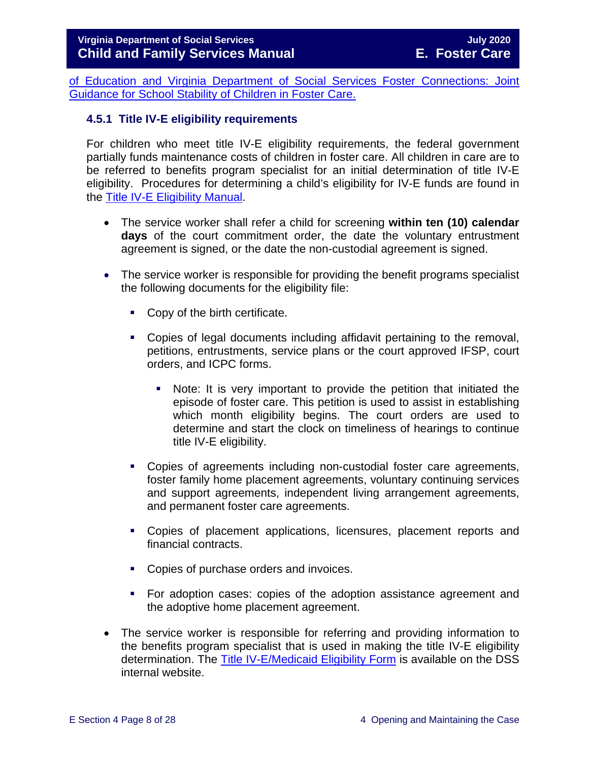[of Education and Virginia Department of Social Services Foster Connections: Joint](https://fusion.dss.virginia.gov/Portals/%5Bdfs%5D/Files/Foster%20Care/Joint%20Guidance/VDOE%20VDSS%20-%20Joint%20Guidance%20for%20School%20Stability%20of%20Children%20Youth%20in%20FC.pdf)  [Guidance for School Stability of Children in Foster Care.](https://fusion.dss.virginia.gov/Portals/%5Bdfs%5D/Files/Foster%20Care/Joint%20Guidance/VDOE%20VDSS%20-%20Joint%20Guidance%20for%20School%20Stability%20of%20Children%20Youth%20in%20FC.pdf)

#### <span id="page-7-0"></span>**4.5.1 Title IV-E eligibility requirements**

For children who meet title IV-E eligibility requirements, the federal government partially funds maintenance costs of children in foster care. All children in care are to be referred to benefits program specialist for an initial determination of title IV-E eligibility. Procedures for determining a child's eligibility for IV-E funds are found in the [Title IV-E Eligibility Manual.](https://fusion.dss.virginia.gov/dfs/DFS-Home/Title-IV-E/Title-IV-E-Guidance)

- The service worker shall refer a child for screening **within ten (10) calendar days** of the court commitment order, the date the voluntary entrustment agreement is signed, or the date the non-custodial agreement is signed.
- The service worker is responsible for providing the benefit programs specialist the following documents for the eligibility file:
	- Copy of the birth certificate.
	- Copies of legal documents including affidavit pertaining to the removal, petitions, entrustments, service plans or the court approved IFSP, court orders, and ICPC forms.
		- Note: It is very important to provide the petition that initiated the episode of foster care. This petition is used to assist in establishing which month eligibility begins. The court orders are used to determine and start the clock on timeliness of hearings to continue title IV-E eligibility.
	- Copies of agreements including non-custodial foster care agreements, foster family home placement agreements, voluntary continuing services and support agreements, independent living arrangement agreements, and permanent foster care agreements.
	- Copies of placement applications, licensures, placement reports and financial contracts.
	- Copies of purchase orders and invoices.
	- For adoption cases: copies of the adoption assistance agreement and the adoptive home placement agreement.
- The service worker is responsible for referring and providing information to the benefits program specialist that is used in making the title IV-E eligibility determination. The [Title IV-E/Medicaid Eligibility Form](https://fusion.dss.virginia.gov/dfs/DFS-Home/Title-IV-E/Title-IV-E-Forms) is available on the DSS internal website.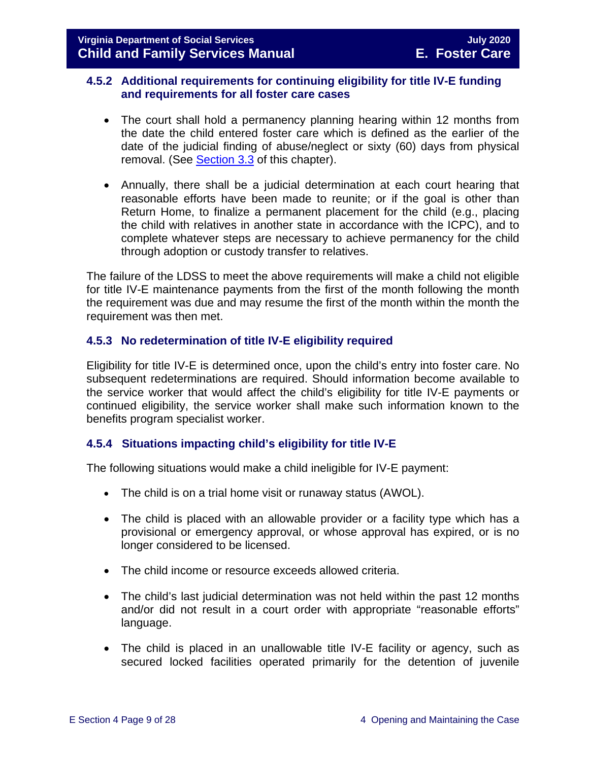#### <span id="page-8-0"></span>**4.5.2 Additional requirements for continuing eligibility for title IV-E funding and requirements for all foster care cases**

- The court shall hold a permanency planning hearing within 12 months from the date the child entered foster care which is defined as the earlier of the date of the judicial finding of abuse/neglect or sixty (60) days from physical removal. (See [Section 3.3](https://fusion.dss.virginia.gov/Portals/%5bdfs%5d/Files/DFS%20Manuals/Foster%20Care%20Manuals/Foster%20Care%20Manual%2007-2020/Final%20Foster%20Care%20Manual%2007-2020/section_3_entering_foster_care.pdf#page=3) of this chapter).
- Annually, there shall be a judicial determination at each court hearing that reasonable efforts have been made to reunite; or if the goal is other than Return Home, to finalize a permanent placement for the child (e.g., placing the child with relatives in another state in accordance with the ICPC), and to complete whatever steps are necessary to achieve permanency for the child through adoption or custody transfer to relatives.

The failure of the LDSS to meet the above requirements will make a child not eligible for title IV-E maintenance payments from the first of the month following the month the requirement was due and may resume the first of the month within the month the requirement was then met.

#### <span id="page-8-1"></span>**4.5.3 No redetermination of title IV-E eligibility required**

Eligibility for title IV-E is determined once, upon the child's entry into foster care. No subsequent redeterminations are required. Should information become available to the service worker that would affect the child's eligibility for title IV-E payments or continued eligibility, the service worker shall make such information known to the benefits program specialist worker.

#### <span id="page-8-2"></span>**4.5.4 Situations impacting child's eligibility for title IV-E**

The following situations would make a child ineligible for IV-E payment:

- The child is on a trial home visit or runaway status (AWOL).
- The child is placed with an allowable provider or a facility type which has a provisional or emergency approval, or whose approval has expired, or is no longer considered to be licensed.
- The child income or resource exceeds allowed criteria.
- The child's last judicial determination was not held within the past 12 months and/or did not result in a court order with appropriate "reasonable efforts" language.
- The child is placed in an unallowable title IV-E facility or agency, such as secured locked facilities operated primarily for the detention of juvenile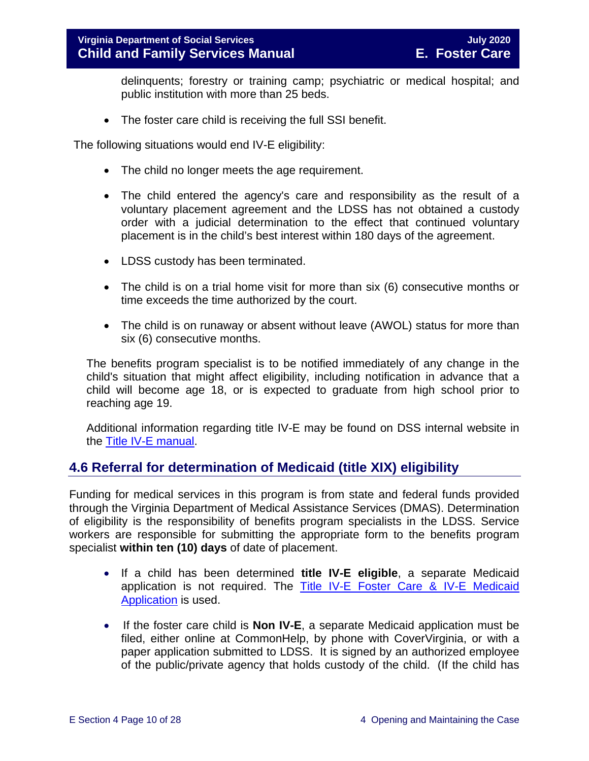delinquents; forestry or training camp; psychiatric or medical hospital; and public institution with more than 25 beds.

• The foster care child is receiving the full SSI benefit.

The following situations would end IV-E eligibility:

- The child no longer meets the age requirement.
- The child entered the agency's care and responsibility as the result of a voluntary placement agreement and the LDSS has not obtained a custody order with a judicial determination to the effect that continued voluntary placement is in the child's best interest within 180 days of the agreement.
- LDSS custody has been terminated.
- The child is on a trial home visit for more than six (6) consecutive months or time exceeds the time authorized by the court.
- The child is on runaway or absent without leave (AWOL) status for more than six (6) consecutive months.

The benefits program specialist is to be notified immediately of any change in the child's situation that might affect eligibility, including notification in advance that a child will become age 18, or is expected to graduate from high school prior to reaching age 19.

Additional information regarding title IV-E may be found on DSS internal website in the [Title IV-E manual.](https://fusion.dss.virginia.gov/dfs/DFS-Home/Title-IV-E/Title-IV-E-Guidance)

## <span id="page-9-0"></span>**4.6 Referral for determination of Medicaid (title XIX) eligibility**

Funding for medical services in this program is from state and federal funds provided through the Virginia Department of Medical Assistance Services (DMAS). Determination of eligibility is the responsibility of benefits program specialists in the LDSS. Service workers are responsible for submitting the appropriate form to the benefits program specialist **within ten (10) days** of date of placement.

- If a child has been determined **title IV-E eligible**, a separate Medicaid application is not required. The [Title IV-E Foster Care & IV-E Medicaid](https://fusion.dss.virginia.gov/dfs/DFS-Home/Title-IV-E/Title-IV-E-Forms)  [Application](https://fusion.dss.virginia.gov/dfs/DFS-Home/Title-IV-E/Title-IV-E-Forms) is used.
- If the foster care child is **Non IV-E**, a separate Medicaid application must be filed, either online at CommonHelp, by phone with CoverVirginia, or with a paper application submitted to LDSS. It is signed by an authorized employee of the public/private agency that holds custody of the child. (If the child has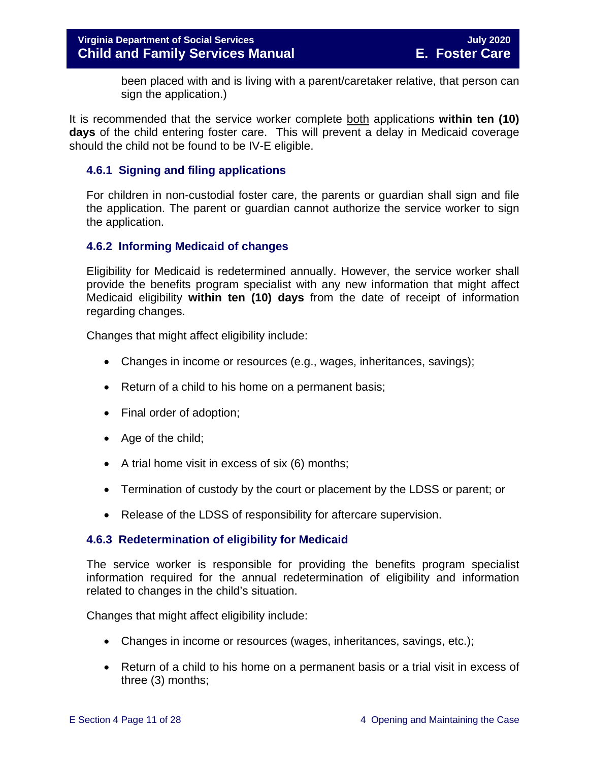been placed with and is living with a parent/caretaker relative, that person can sign the application.)

It is recommended that the service worker complete both applications **within ten (10) days** of the child entering foster care. This will prevent a delay in Medicaid coverage should the child not be found to be IV-E eligible.

#### <span id="page-10-0"></span>**4.6.1 Signing and filing applications**

For children in non-custodial foster care, the parents or guardian shall sign and file the application. The parent or guardian cannot authorize the service worker to sign the application.

#### <span id="page-10-1"></span>**4.6.2 Informing Medicaid of changes**

Eligibility for Medicaid is redetermined annually. However, the service worker shall provide the benefits program specialist with any new information that might affect Medicaid eligibility **within ten (10) days** from the date of receipt of information regarding changes.

Changes that might affect eligibility include:

- Changes in income or resources (e.g., wages, inheritances, savings);
- Return of a child to his home on a permanent basis;
- Final order of adoption;
- Age of the child;
- A trial home visit in excess of six (6) months;
- Termination of custody by the court or placement by the LDSS or parent; or
- Release of the LDSS of responsibility for aftercare supervision.

#### <span id="page-10-2"></span>**4.6.3 Redetermination of eligibility for Medicaid**

The service worker is responsible for providing the benefits program specialist information required for the annual redetermination of eligibility and information related to changes in the child's situation.

Changes that might affect eligibility include:

- Changes in income or resources (wages, inheritances, savings, etc.);
- Return of a child to his home on a permanent basis or a trial visit in excess of three (3) months;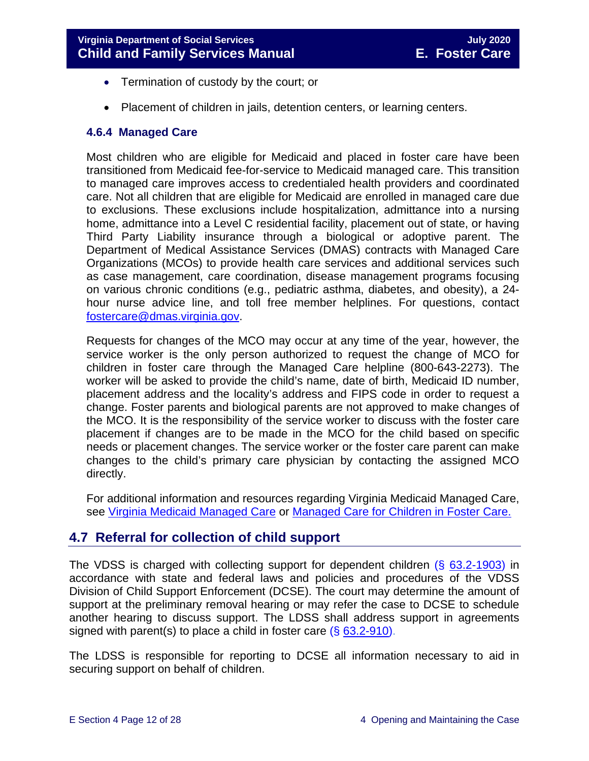- Termination of custody by the court; or
- Placement of children in jails, detention centers, or learning centers.

#### <span id="page-11-0"></span>**4.6.4 Managed Care**

Most children who are eligible for Medicaid and placed in foster care have been transitioned from Medicaid fee-for-service to Medicaid managed care. This transition to managed care improves access to credentialed health providers and coordinated care. Not all children that are eligible for Medicaid are enrolled in managed care due to exclusions. These exclusions include hospitalization, admittance into a nursing home, admittance into a Level C residential facility, placement out of state, or having Third Party Liability insurance through a biological or adoptive parent. The Department of Medical Assistance Services (DMAS) contracts with Managed Care Organizations (MCOs) to provide health care services and additional services such as case management, care coordination, disease management programs focusing on various chronic conditions (e.g., pediatric asthma, diabetes, and obesity), a 24 hour nurse advice line, and toll free member helplines. For questions, contact [fostercare@dmas.virginia.gov.](mailto:fostercare@dmas.virginia.gov)

Requests for changes of the MCO may occur at any time of the year, however, the service worker is the only person authorized to request the change of MCO for children in foster care through the Managed Care helpline (800-643-2273). The worker will be asked to provide the child's name, date of birth, Medicaid ID number, placement address and the locality's address and FIPS code in order to request a change. Foster parents and biological parents are not approved to make changes of the MCO. It is the responsibility of the service worker to discuss with the foster care placement if changes are to be made in the MCO for the child based on specific needs or placement changes. The service worker or the foster care parent can make changes to the child's primary care physician by contacting the assigned MCO directly.

For additional information and resources regarding Virginia Medicaid Managed Care, see [Virginia Medicaid Managed Care](http://www.virginiamanagedcare.com/) or Managed Care [for Children in Foster Care.](http://www.dmas.virginia.gov/Content_pgs/ialtc-plt.aspx)

## <span id="page-11-1"></span>**4.7 Referral for collection of child support**

The VDSS is charged with collecting support for dependent children (§ [63.2-1903\)](https://law.lis.virginia.gov/vacode/63.2-1903/) in accordance with state and federal laws and policies and procedures of the VDSS Division of Child Support Enforcement (DCSE). The court may determine the amount of support at the preliminary removal hearing or may refer the case to DCSE to schedule another hearing to discuss support. The LDSS shall address support in agreements signed with parent(s) to place a child in foster care (§ [63.2-910\)](https://law.lis.virginia.gov/vacode/63.2-910/).

The LDSS is responsible for reporting to DCSE all information necessary to aid in securing support on behalf of children.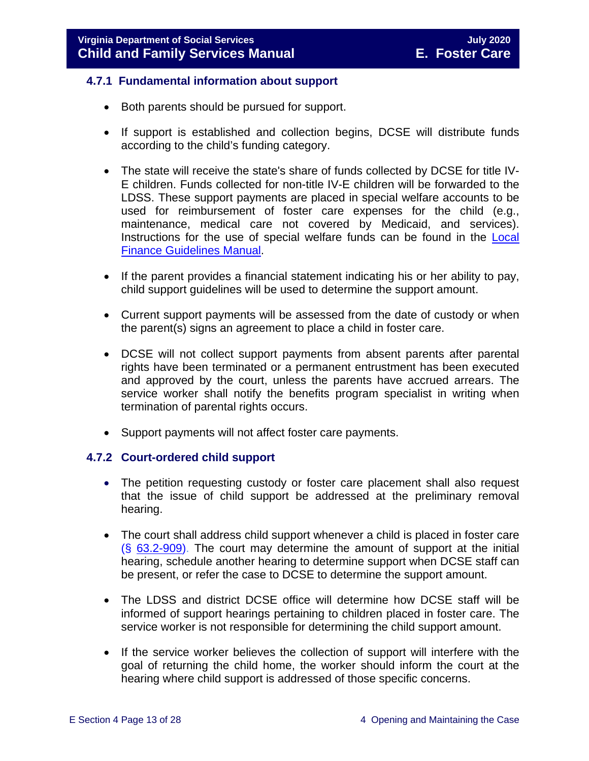#### <span id="page-12-0"></span>**4.7.1 Fundamental information about support**

- Both parents should be pursued for support.
- If support is established and collection begins, DCSE will distribute funds according to the child's funding category.
- The state will receive the state's share of funds collected by DCSE for title IV-E children. Funds collected for non-title IV-E children will be forwarded to the LDSS. These support payments are placed in special welfare accounts to be used for reimbursement of foster care expenses for the child (e.g., maintenance, medical care not covered by Medicaid, and services). Instructions for the use of special welfare funds can be found in the [Local](https://fusion.dss.virginia.gov/dof/DOF-Home/LOCAL-RESOURCES/Finance-Guidelines-Manual-LDSS)  [Finance Guidelines Manual.](https://fusion.dss.virginia.gov/dof/DOF-Home/LOCAL-RESOURCES/Finance-Guidelines-Manual-LDSS)
- If the parent provides a financial statement indicating his or her ability to pay, child support guidelines will be used to determine the support amount.
- Current support payments will be assessed from the date of custody or when the parent(s) signs an agreement to place a child in foster care.
- DCSE will not collect support payments from absent parents after parental rights have been terminated or a permanent entrustment has been executed and approved by the court, unless the parents have accrued arrears. The service worker shall notify the benefits program specialist in writing when termination of parental rights occurs.
- Support payments will not affect foster care payments.

#### <span id="page-12-1"></span>**4.7.2 Court-ordered child support**

- The petition requesting custody or foster care placement shall also request that the issue of child support be addressed at the preliminary removal hearing.
- The court shall address child support whenever a child is placed in foster care  $(S$  [63.2-909\)](https://law.lis.virginia.gov/vacode/63.2-909/). The court may determine the amount of support at the initial hearing, schedule another hearing to determine support when DCSE staff can be present, or refer the case to DCSE to determine the support amount.
- The LDSS and district DCSE office will determine how DCSE staff will be informed of support hearings pertaining to children placed in foster care. The service worker is not responsible for determining the child support amount.
- If the service worker believes the collection of support will interfere with the goal of returning the child home, the worker should inform the court at the hearing where child support is addressed of those specific concerns.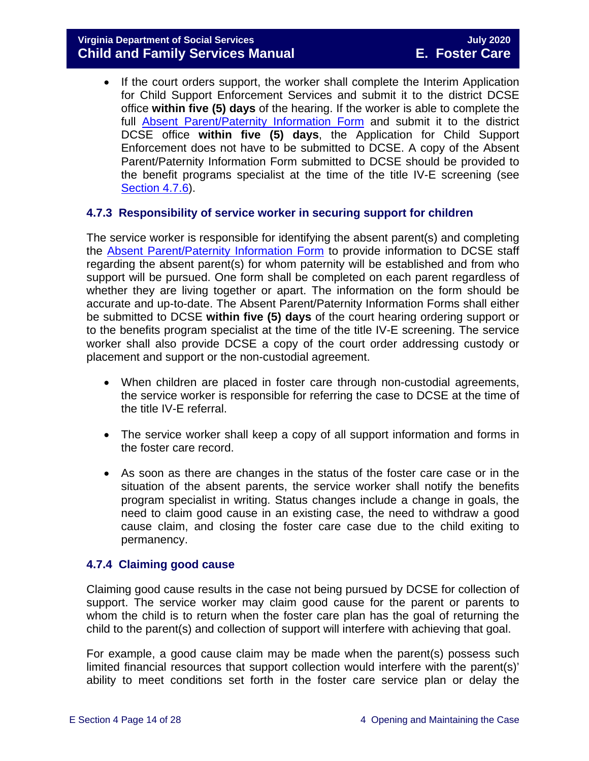• If the court orders support, the worker shall complete the Interim Application for Child Support Enforcement Services and submit it to the district DCSE office **within five (5) days** of the hearing. If the worker is able to complete the full [Absent Parent/Paternity Information Form](https://fusion.dss.virginia.gov/Portals/%5bbp%5d/Files/TANF%20Forms/Absent%20Parent%20Paternity%20Information.pdf?ver=2019-03-30-204002-243) and submit it to the district DCSE office **within five (5) days**, the Application for Child Support Enforcement does not have to be submitted to DCSE. A copy of the Absent Parent/Paternity Information Form submitted to DCSE should be provided to the benefit programs specialist at the time of the title IV-E screening (see [Section 4.7.6\)](#page-15-0).

#### <span id="page-13-0"></span>**4.7.3 Responsibility of service worker in securing support for children**

The service worker is responsible for identifying the absent parent(s) and completing the [Absent Parent/Paternity Information Form](https://fusion.dss.virginia.gov/Portals/%5bbp%5d/Files/TANF%20Forms/Absent%20Parent%20Paternity%20Information.pdf?ver=2019-03-30-204002-243) to provide information to DCSE staff regarding the absent parent(s) for whom paternity will be established and from who support will be pursued. One form shall be completed on each parent regardless of whether they are living together or apart. The information on the form should be accurate and up-to-date. The Absent Parent/Paternity Information Forms shall either be submitted to DCSE **within five (5) days** of the court hearing ordering support or to the benefits program specialist at the time of the title IV-E screening. The service worker shall also provide DCSE a copy of the court order addressing custody or placement and support or the non-custodial agreement.

- When children are placed in foster care through non-custodial agreements, the service worker is responsible for referring the case to DCSE at the time of the title IV-E referral.
- The service worker shall keep a copy of all support information and forms in the foster care record.
- As soon as there are changes in the status of the foster care case or in the situation of the absent parents, the service worker shall notify the benefits program specialist in writing. Status changes include a change in goals, the need to claim good cause in an existing case, the need to withdraw a good cause claim, and closing the foster care case due to the child exiting to permanency.

#### <span id="page-13-1"></span>**4.7.4 Claiming good cause**

Claiming good cause results in the case not being pursued by DCSE for collection of support. The service worker may claim good cause for the parent or parents to whom the child is to return when the foster care plan has the goal of returning the child to the parent(s) and collection of support will interfere with achieving that goal.

For example, a good cause claim may be made when the parent(s) possess such limited financial resources that support collection would interfere with the parent(s)' ability to meet conditions set forth in the foster care service plan or delay the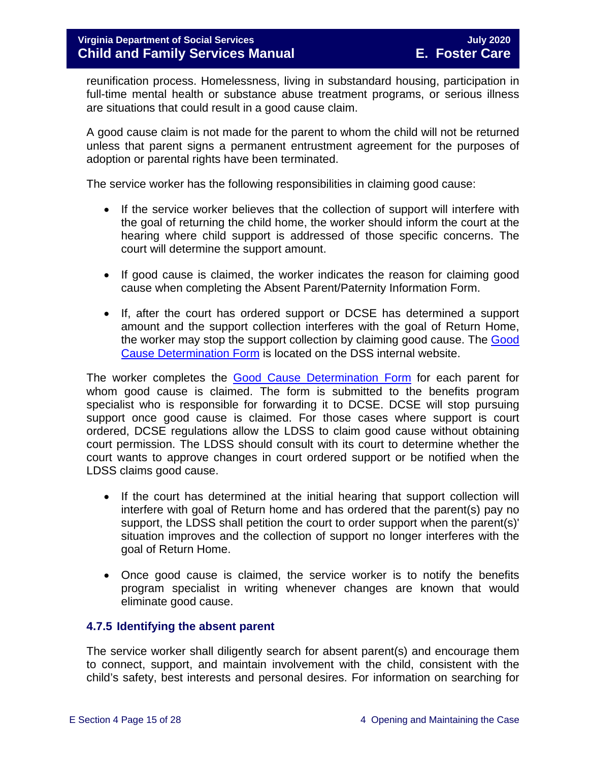reunification process. Homelessness, living in substandard housing, participation in full-time mental health or substance abuse treatment programs, or serious illness are situations that could result in a good cause claim.

A good cause claim is not made for the parent to whom the child will not be returned unless that parent signs a permanent entrustment agreement for the purposes of adoption or parental rights have been terminated.

The service worker has the following responsibilities in claiming good cause:

- If the service worker believes that the collection of support will interfere with the goal of returning the child home, the worker should inform the court at the hearing where child support is addressed of those specific concerns. The court will determine the support amount.
- If good cause is claimed, the worker indicates the reason for claiming good cause when completing the Absent Parent/Paternity Information Form.
- If, after the court has ordered support or DCSE has determined a support amount and the support collection interferes with the goal of Return Home, the worker may stop the support collection by claiming good cause. The [Good](https://fusion.dss.virginia.gov/dfs/DFS-Home/Foster-Care/Foster-Care-Forms)  [Cause Determination Form](https://fusion.dss.virginia.gov/dfs/DFS-Home/Foster-Care/Foster-Care-Forms) is located on the DSS internal website.

The worker completes the [Good Cause Determination Form](https://fusion.dss.virginia.gov/dfs/DFS-Home/Foster-Care/Foster-Care-Forms) for each parent for whom good cause is claimed. The form is submitted to the benefits program specialist who is responsible for forwarding it to DCSE. DCSE will stop pursuing support once good cause is claimed. For those cases where support is court ordered, DCSE regulations allow the LDSS to claim good cause without obtaining court permission. The LDSS should consult with its court to determine whether the court wants to approve changes in court ordered support or be notified when the LDSS claims good cause.

- If the court has determined at the initial hearing that support collection will interfere with goal of Return home and has ordered that the parent(s) pay no support, the LDSS shall petition the court to order support when the parent(s)' situation improves and the collection of support no longer interferes with the goal of Return Home.
- Once good cause is claimed, the service worker is to notify the benefits program specialist in writing whenever changes are known that would eliminate good cause.

#### <span id="page-14-0"></span>**4.7.5 Identifying the absent parent**

The service worker shall diligently search for absent parent(s) and encourage them to connect, support, and maintain involvement with the child, consistent with the child's safety, best interests and personal desires. For information on searching for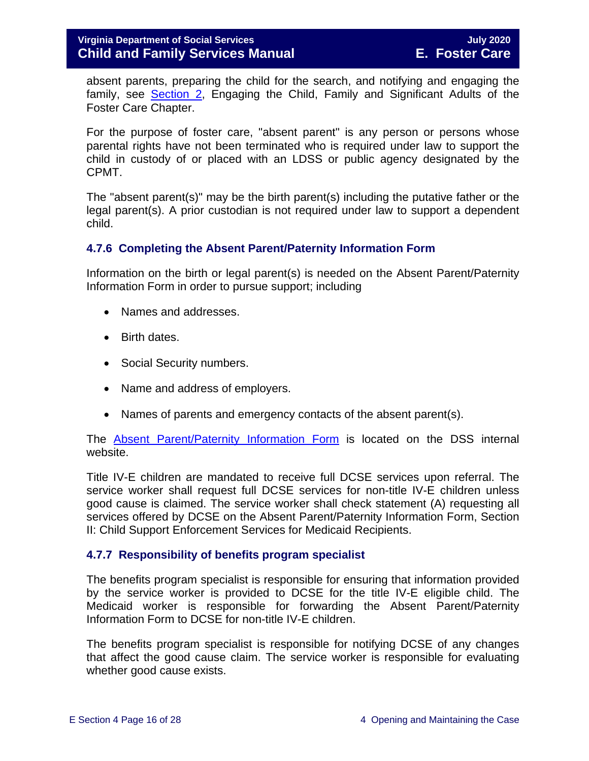absent parents, preparing the child for the search, and notifying and engaging the family, see [Section 2,](https://fusion.dss.virginia.gov/Portals/%5bdfs%5d/Files/DFS%20Manuals/Foster%20Care%20Manuals/Foster%20Care%20Manual%2007-2020/Final%20Foster%20Care%20Manual%2007-2020/section_2_engaging_the_child_family_and_significant_adults.pdf) Engaging the Child, Family and Significant Adults of the Foster Care Chapter.

For the purpose of foster care, "absent parent" is any person or persons whose parental rights have not been terminated who is required under law to support the child in custody of or placed with an LDSS or public agency designated by the CPMT.

The "absent parent(s)" may be the birth parent(s) including the putative father or the legal parent(s). A prior custodian is not required under law to support a dependent child.

#### <span id="page-15-0"></span>**4.7.6 Completing the Absent Parent/Paternity Information Form**

Information on the birth or legal parent(s) is needed on the Absent Parent/Paternity Information Form in order to pursue support; including

- Names and addresses.
- Birth dates.
- Social Security numbers.
- Name and address of employers.
- Names of parents and emergency contacts of the absent parent(s).

The [Absent Parent/Paternity Information Form](https://fusion.dss.virginia.gov/Portals/%5bbp%5d/Files/TANF%20Forms/Absent%20Parent%20Paternity%20Information.pdf?ver=2019-03-30-204002-243) is located on the DSS internal website.

Title IV-E children are mandated to receive full DCSE services upon referral. The service worker shall request full DCSE services for non-title IV-E children unless good cause is claimed. The service worker shall check statement (A) requesting all services offered by DCSE on the Absent Parent/Paternity Information Form, Section II: Child Support Enforcement Services for Medicaid Recipients.

#### <span id="page-15-1"></span>**4.7.7 Responsibility of benefits program specialist**

The benefits program specialist is responsible for ensuring that information provided by the service worker is provided to DCSE for the title IV-E eligible child. The Medicaid worker is responsible for forwarding the Absent Parent/Paternity Information Form to DCSE for non-title IV-E children.

The benefits program specialist is responsible for notifying DCSE of any changes that affect the good cause claim. The service worker is responsible for evaluating whether good cause exists.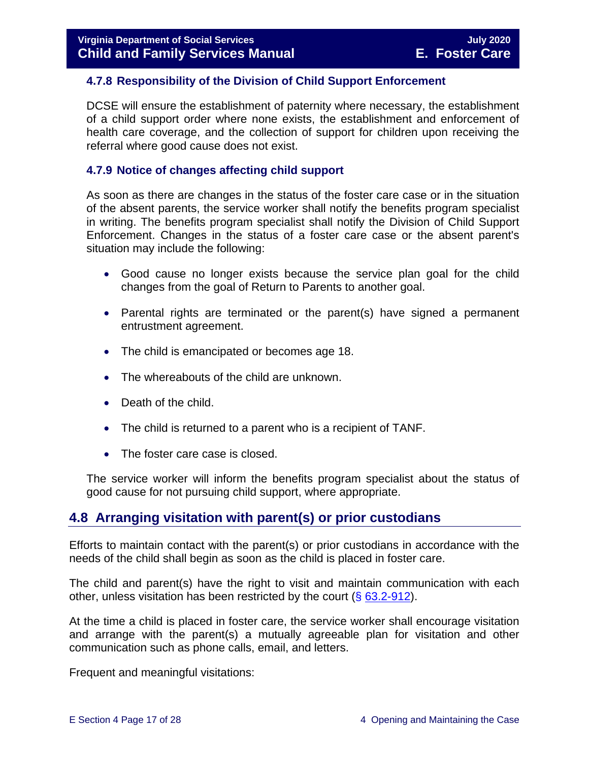#### <span id="page-16-0"></span>**4.7.8 Responsibility of the Division of Child Support Enforcement**

DCSE will ensure the establishment of paternity where necessary, the establishment of a child support order where none exists, the establishment and enforcement of health care coverage, and the collection of support for children upon receiving the referral where good cause does not exist.

#### <span id="page-16-1"></span>**4.7.9 Notice of changes affecting child support**

As soon as there are changes in the status of the foster care case or in the situation of the absent parents, the service worker shall notify the benefits program specialist in writing. The benefits program specialist shall notify the Division of Child Support Enforcement. Changes in the status of a foster care case or the absent parent's situation may include the following:

- Good cause no longer exists because the service plan goal for the child changes from the goal of Return to Parents to another goal.
- Parental rights are terminated or the parent(s) have signed a permanent entrustment agreement.
- The child is emancipated or becomes age 18.
- The whereabouts of the child are unknown.
- Death of the child.
- The child is returned to a parent who is a recipient of TANF.
- The foster care case is closed.

The service worker will inform the benefits program specialist about the status of good cause for not pursuing child support, where appropriate.

## <span id="page-16-2"></span>**4.8 Arranging visitation with parent(s) or prior custodians**

Efforts to maintain contact with the parent(s) or prior custodians in accordance with the needs of the child shall begin as soon as the child is placed in foster care.

The child and parent(s) have the right to visit and maintain communication with each other, unless visitation has been restricted by the court  $(\S$  [63.2-912\)](https://law.lis.virginia.gov/vacode/63.2-912/).

At the time a child is placed in foster care, the service worker shall encourage visitation and arrange with the parent(s) a mutually agreeable plan for visitation and other communication such as phone calls, email, and letters.

Frequent and meaningful visitations: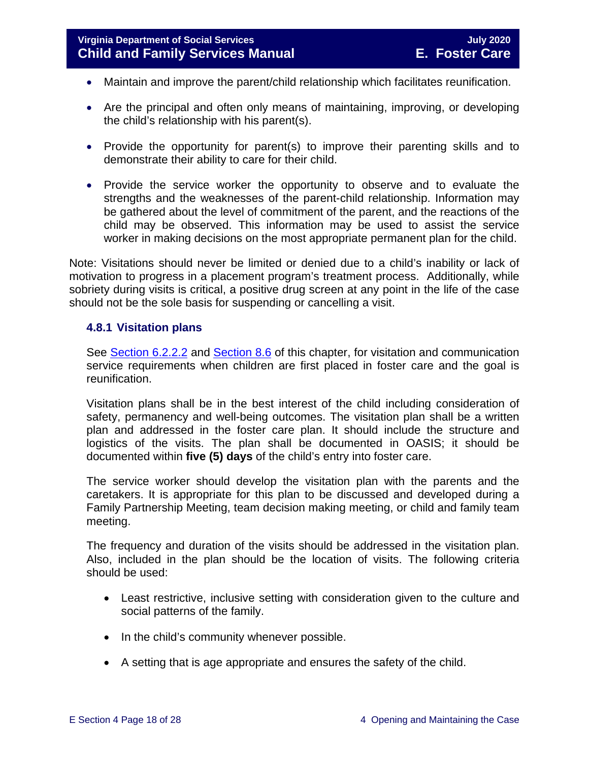- Maintain and improve the parent/child relationship which facilitates reunification.
- Are the principal and often only means of maintaining, improving, or developing the child's relationship with his parent(s).
- Provide the opportunity for parent(s) to improve their parenting skills and to demonstrate their ability to care for their child.
- Provide the service worker the opportunity to observe and to evaluate the strengths and the weaknesses of the parent-child relationship. Information may be gathered about the level of commitment of the parent, and the reactions of the child may be observed. This information may be used to assist the service worker in making decisions on the most appropriate permanent plan for the child.

Note: Visitations should never be limited or denied due to a child's inability or lack of motivation to progress in a placement program's treatment process. Additionally, while sobriety during visits is critical, a positive drug screen at any point in the life of the case should not be the sole basis for suspending or cancelling a visit.

#### <span id="page-17-0"></span>**4.8.1 Visitation plans**

See [Section 6.2.2.2](https://fusion.dss.virginia.gov/Portals/%5bdfs%5d/Files/DFS%20Manuals/Foster%20Care%20Manuals/Foster%20Care%20Manual%2007-2020/Final%20Foster%20Care%20Manual%2007-2020/section_6_placement_to_achieve_permanency.pdf#page=7) and [Section 8.6](https://fusion.dss.virginia.gov/Portals/%5bdfs%5d/Files/DFS%20Manuals/Foster%20Care%20Manuals/Foster%20Care%20Manual%2007-2019/section_8_achieving_permanency_goal_return_home.pdf#page=10) of this chapter, for visitation and communication service requirements when children are first placed in foster care and the goal is reunification.

Visitation plans shall be in the best interest of the child including consideration of safety, permanency and well-being outcomes. The visitation plan shall be a written plan and addressed in the foster care plan. It should include the structure and logistics of the visits. The plan shall be documented in OASIS; it should be documented within **five (5) days** of the child's entry into foster care.

The service worker should develop the visitation plan with the parents and the caretakers. It is appropriate for this plan to be discussed and developed during a Family Partnership Meeting, team decision making meeting, or child and family team meeting.

The frequency and duration of the visits should be addressed in the visitation plan. Also, included in the plan should be the location of visits. The following criteria should be used:

- Least restrictive, inclusive setting with consideration given to the culture and social patterns of the family.
- In the child's community whenever possible.
- A setting that is age appropriate and ensures the safety of the child.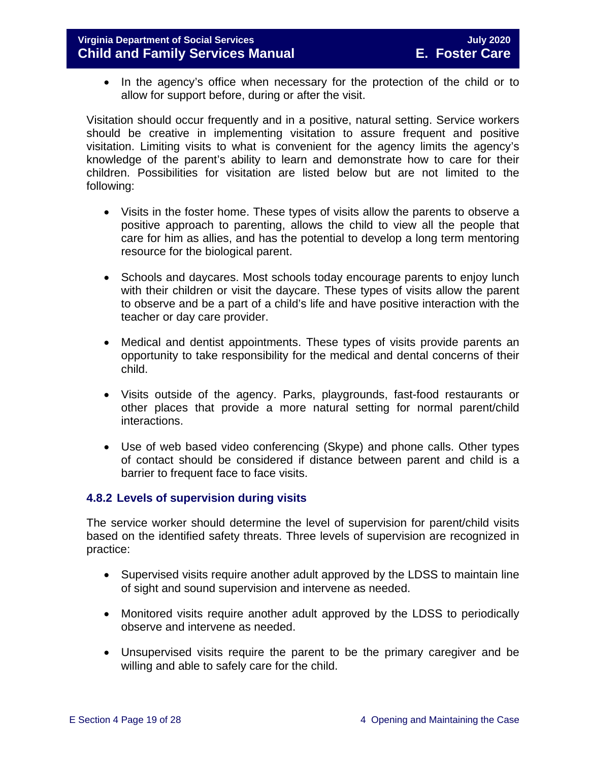#### **Virginia Department of Social Services July 2020 Child and Family Services Manual**

• In the agency's office when necessary for the protection of the child or to allow for support before, during or after the visit.

Visitation should occur frequently and in a positive, natural setting. Service workers should be creative in implementing visitation to assure frequent and positive visitation. Limiting visits to what is convenient for the agency limits the agency's knowledge of the parent's ability to learn and demonstrate how to care for their children. Possibilities for visitation are listed below but are not limited to the following:

- Visits in the foster home. These types of visits allow the parents to observe a positive approach to parenting, allows the child to view all the people that care for him as allies, and has the potential to develop a long term mentoring resource for the biological parent.
- Schools and daycares. Most schools today encourage parents to enjoy lunch with their children or visit the daycare. These types of visits allow the parent to observe and be a part of a child's life and have positive interaction with the teacher or day care provider.
- Medical and dentist appointments. These types of visits provide parents an opportunity to take responsibility for the medical and dental concerns of their child.
- Visits outside of the agency. Parks, playgrounds, fast-food restaurants or other places that provide a more natural setting for normal parent/child interactions.
- Use of web based video conferencing (Skype) and phone calls. Other types of contact should be considered if distance between parent and child is a barrier to frequent face to face visits.

#### <span id="page-18-0"></span>**4.8.2 Levels of supervision during visits**

The service worker should determine the level of supervision for parent/child visits based on the identified safety threats. Three levels of supervision are recognized in practice:

- Supervised visits require another adult approved by the LDSS to maintain line of sight and sound supervision and intervene as needed.
- Monitored visits require another adult approved by the LDSS to periodically observe and intervene as needed.
- Unsupervised visits require the parent to be the primary caregiver and be willing and able to safely care for the child.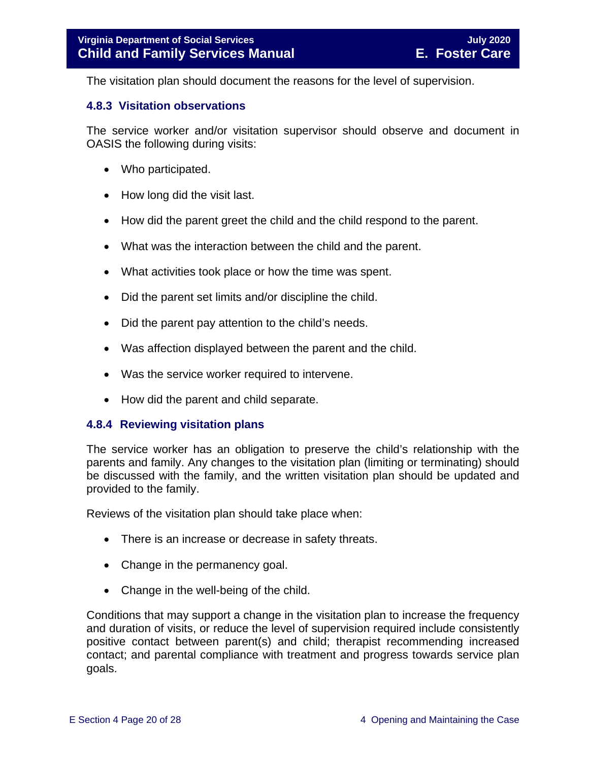The visitation plan should document the reasons for the level of supervision.

#### <span id="page-19-0"></span>**4.8.3 Visitation observations**

The service worker and/or visitation supervisor should observe and document in OASIS the following during visits:

- Who participated.
- How long did the visit last.
- How did the parent greet the child and the child respond to the parent.
- What was the interaction between the child and the parent.
- What activities took place or how the time was spent.
- Did the parent set limits and/or discipline the child.
- Did the parent pay attention to the child's needs.
- Was affection displayed between the parent and the child.
- Was the service worker required to intervene.
- <span id="page-19-1"></span>• How did the parent and child separate.

#### **4.8.4 Reviewing visitation plans**

The service worker has an obligation to preserve the child's relationship with the parents and family. Any changes to the visitation plan (limiting or terminating) should be discussed with the family, and the written visitation plan should be updated and provided to the family.

Reviews of the visitation plan should take place when:

- There is an increase or decrease in safety threats.
- Change in the permanency goal.
- Change in the well-being of the child.

Conditions that may support a change in the visitation plan to increase the frequency and duration of visits, or reduce the level of supervision required include consistently positive contact between parent(s) and child; therapist recommending increased contact; and parental compliance with treatment and progress towards service plan goals.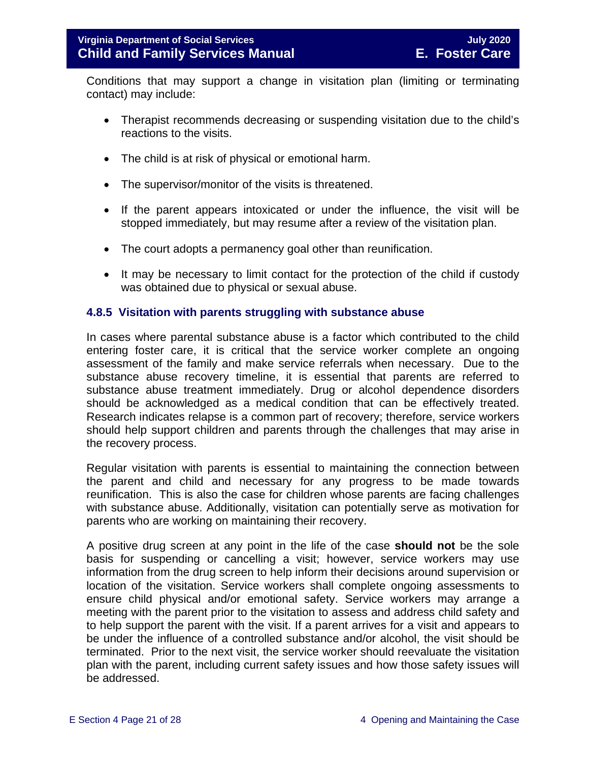Conditions that may support a change in visitation plan (limiting or terminating contact) may include:

- Therapist recommends decreasing or suspending visitation due to the child's reactions to the visits.
- The child is at risk of physical or emotional harm.
- The supervisor/monitor of the visits is threatened.
- If the parent appears intoxicated or under the influence, the visit will be stopped immediately, but may resume after a review of the visitation plan.
- The court adopts a permanency goal other than reunification.
- It may be necessary to limit contact for the protection of the child if custody was obtained due to physical or sexual abuse.

#### <span id="page-20-0"></span>**4.8.5 Visitation with parents struggling with substance abuse**

In cases where parental substance abuse is a factor which contributed to the child entering foster care, it is critical that the service worker complete an ongoing assessment of the family and make service referrals when necessary. Due to the substance abuse recovery timeline, it is essential that parents are referred to substance abuse treatment immediately. Drug or alcohol dependence disorders should be acknowledged as a medical condition that can be effectively treated. Research indicates relapse is a common part of recovery; therefore, service workers should help support children and parents through the challenges that may arise in the recovery process.

Regular visitation with parents is essential to maintaining the connection between the parent and child and necessary for any progress to be made towards reunification. This is also the case for children whose parents are facing challenges with substance abuse. Additionally, visitation can potentially serve as motivation for parents who are working on maintaining their recovery.

A positive drug screen at any point in the life of the case **should not** be the sole basis for suspending or cancelling a visit; however, service workers may use information from the drug screen to help inform their decisions around supervision or location of the visitation. Service workers shall complete ongoing assessments to ensure child physical and/or emotional safety. Service workers may arrange a meeting with the parent prior to the visitation to assess and address child safety and to help support the parent with the visit. If a parent arrives for a visit and appears to be under the influence of a controlled substance and/or alcohol, the visit should be terminated. Prior to the next visit, the service worker should reevaluate the visitation plan with the parent, including current safety issues and how those safety issues will be addressed.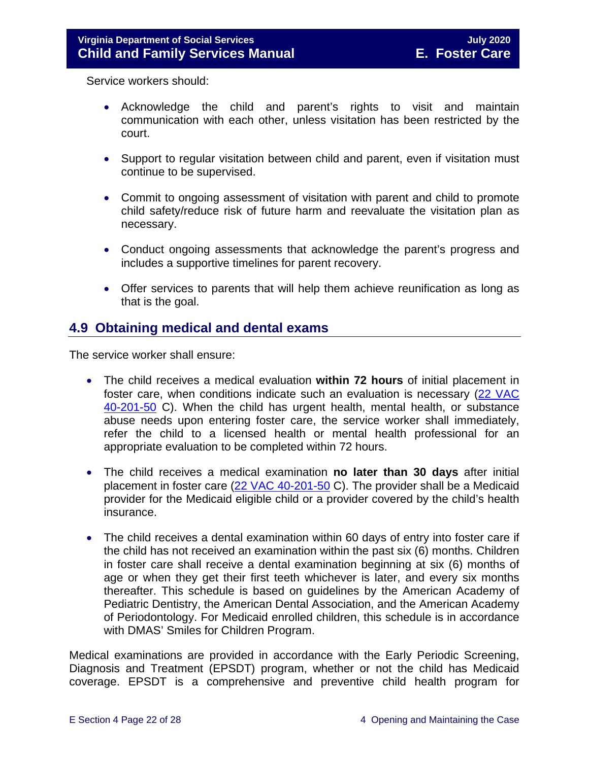Service workers should:

- Acknowledge the child and parent's rights to visit and maintain communication with each other, unless visitation has been restricted by the court.
- Support to regular visitation between child and parent, even if visitation must continue to be supervised.
- Commit to ongoing assessment of visitation with parent and child to promote child safety/reduce risk of future harm and reevaluate the visitation plan as necessary.
- Conduct ongoing assessments that acknowledge the parent's progress and includes a supportive timelines for parent recovery.
- Offer services to parents that will help them achieve reunification as long as that is the goal.

## <span id="page-21-0"></span>**4.9 Obtaining medical and dental exams**

The service worker shall ensure:

- The child receives a medical evaluation **within 72 hours** of initial placement in foster care, when conditions indicate such an evaluation is necessary [\(22 VAC](http://leg1.state.va.us/cgi-bin/legp504.exe?000+reg+22VAC40-201-50)  [40-201-50](http://leg1.state.va.us/cgi-bin/legp504.exe?000+reg+22VAC40-201-50) C). When the child has urgent health, mental health, or substance abuse needs upon entering foster care, the service worker shall immediately, refer the child to a licensed health or mental health professional for an appropriate evaluation to be completed within 72 hours.
- The child receives a medical examination **no later than 30 days** after initial placement in foster care [\(22 VAC 40-201-50](http://leg1.state.va.us/cgi-bin/legp504.exe?000+reg+22VAC40-201-50) C). The provider shall be a Medicaid provider for the Medicaid eligible child or a provider covered by the child's health insurance.
- The child receives a dental examination within 60 days of entry into foster care if the child has not received an examination within the past six (6) months. Children in foster care shall receive a dental examination beginning at six (6) months of age or when they get their first teeth whichever is later, and every six months thereafter. This schedule is based on guidelines by the American Academy of Pediatric Dentistry, the American Dental Association, and the American Academy of Periodontology. For Medicaid enrolled children, this schedule is in accordance with DMAS' Smiles for Children Program.

Medical examinations are provided in accordance with the Early Periodic Screening, Diagnosis and Treatment (EPSDT) program, whether or not the child has Medicaid coverage. EPSDT is a comprehensive and preventive child health program for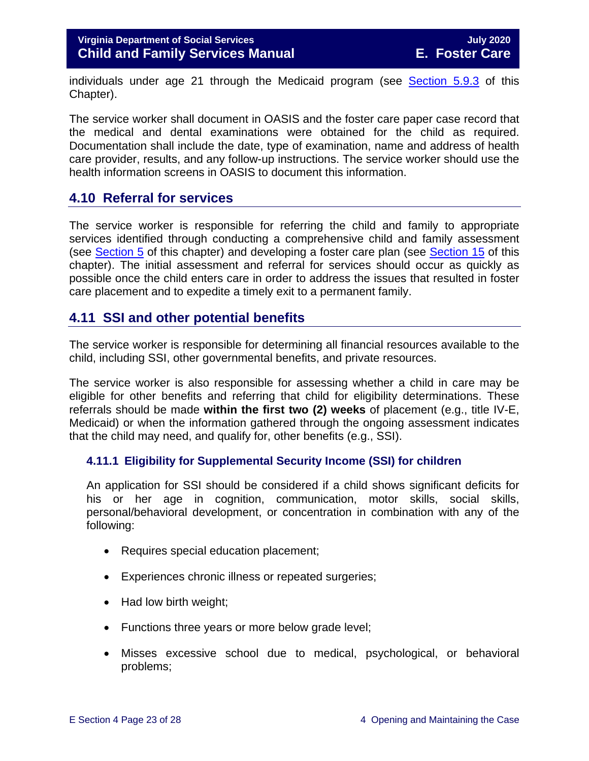individuals under age 21 through the Medicaid program (see [Section 5.9.3](https://fusion.dss.virginia.gov/Portals/%5bdfs%5d/Files/DFS%20Manuals/Foster%20Care%20Manuals/Foster%20Care%20Manual%2007-2020/Final%20Foster%20Care%20Manual%2007-2020/section_5_conducting_child_and_family_assessment.pdf#page=21) of this Chapter).

The service worker shall document in OASIS and the foster care paper case record that the medical and dental examinations were obtained for the child as required. Documentation shall include the date, type of examination, name and address of health care provider, results, and any follow-up instructions. The service worker should use the health information screens in OASIS to document this information.

## <span id="page-22-0"></span>**4.10 Referral for services**

The service worker is responsible for referring the child and family to appropriate services identified through conducting a comprehensive child and family assessment (see [Section 5](https://fusion.dss.virginia.gov/Portals/%5bdfs%5d/Files/DFS%20Manuals/Foster%20Care%20Manuals/Foster%20Care%20Manual%2007-2020/Final%20Foster%20Care%20Manual%2007-2020/section_5_conducting_child_and_family_assessment.pdf) of this chapter) and developing a foster care plan (see [Section 15](https://fusion.dss.virginia.gov/Portals/%5bdfs%5d/Files/DFS%20Manuals/Foster%20Care%20Manuals/Foster%20Care%20Manual%2007-2020/Final%20Foster%20Care%20Manual%2007-2020/section_15_developing_service_plan.pdf) of this chapter). The initial assessment and referral for services should occur as quickly as possible once the child enters care in order to address the issues that resulted in foster care placement and to expedite a timely exit to a permanent family.

## <span id="page-22-1"></span>**4.11 SSI and other potential benefits**

The service worker is responsible for determining all financial resources available to the child, including SSI, other governmental benefits, and private resources.

The service worker is also responsible for assessing whether a child in care may be eligible for other benefits and referring that child for eligibility determinations. These referrals should be made **within the first two (2) weeks** of placement (e.g., title IV-E, Medicaid) or when the information gathered through the ongoing assessment indicates that the child may need, and qualify for, other benefits (e.g., SSI).

#### <span id="page-22-2"></span>**4.11.1 Eligibility for Supplemental Security Income (SSI) for children**

An application for SSI should be considered if a child shows significant deficits for his or her age in cognition, communication, motor skills, social skills, personal/behavioral development, or concentration in combination with any of the following:

- Requires special education placement;
- Experiences chronic illness or repeated surgeries;
- Had low birth weight;
- Functions three years or more below grade level;
- Misses excessive school due to medical, psychological, or behavioral problems;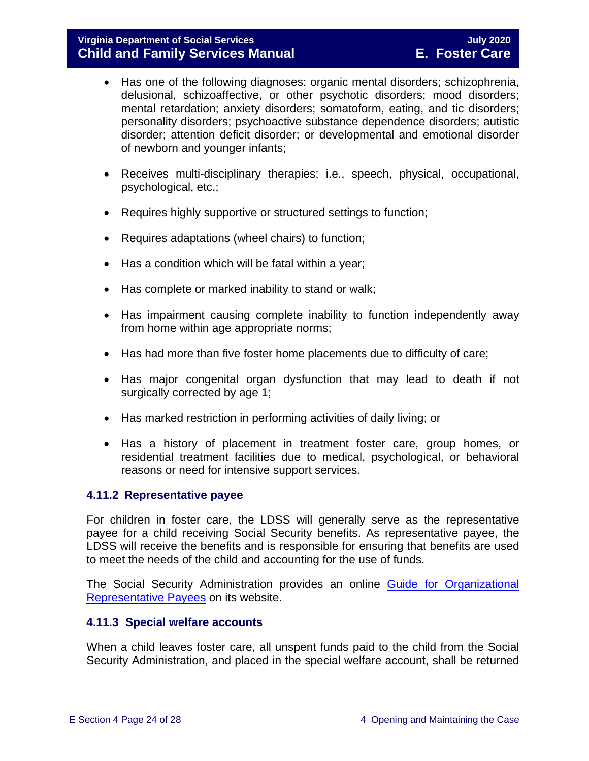#### **Virginia Department of Social Services July 2020 Child and Family Services Manual**

- Has one of the following diagnoses: organic mental disorders; schizophrenia, delusional, schizoaffective, or other psychotic disorders; mood disorders; mental retardation; anxiety disorders; somatoform, eating, and tic disorders; personality disorders; psychoactive substance dependence disorders; autistic disorder; attention deficit disorder; or developmental and emotional disorder of newborn and younger infants;
- Receives multi-disciplinary therapies; i.e., speech, physical, occupational, psychological, etc.;
- Requires highly supportive or structured settings to function;
- Requires adaptations (wheel chairs) to function;
- Has a condition which will be fatal within a year;
- Has complete or marked inability to stand or walk;
- Has impairment causing complete inability to function independently away from home within age appropriate norms;
- Has had more than five foster home placements due to difficulty of care;
- Has major congenital organ dysfunction that may lead to death if not surgically corrected by age 1;
- Has marked restriction in performing activities of daily living; or
- Has a history of placement in treatment foster care, group homes, or residential treatment facilities due to medical, psychological, or behavioral reasons or need for intensive support services.

#### <span id="page-23-0"></span>**4.11.2 Representative payee**

For children in foster care, the LDSS will generally serve as the representative payee for a child receiving Social Security benefits. As representative payee, the LDSS will receive the benefits and is responsible for ensuring that benefits are used to meet the needs of the child and accounting for the use of funds.

The Social Security Administration provides an online Guide for Organizational [Representative Payees](https://www.ssa.gov/payee/NewGuide/toc.htm) on its website.

#### <span id="page-23-1"></span>**4.11.3 Special welfare accounts**

When a child leaves foster care, all unspent funds paid to the child from the Social Security Administration, and placed in the special welfare account, shall be returned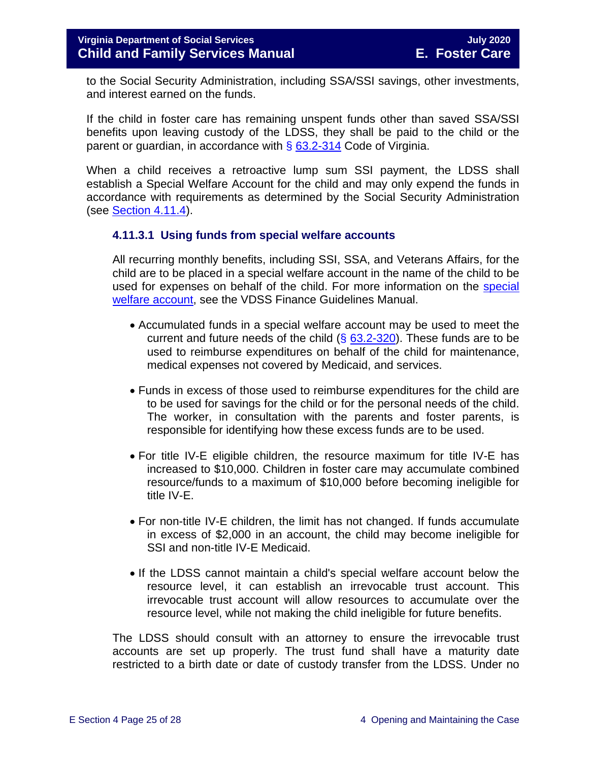to the Social Security Administration, including SSA/SSI savings, other investments, and interest earned on the funds.

If the child in foster care has remaining unspent funds other than saved SSA/SSI benefits upon leaving custody of the LDSS, they shall be paid to the child or the parent or guardian, in accordance with  $\S$  [63.2-314](https://law.lis.virginia.gov/vacode/63.2-314/) Code of Virginia.

When a child receives a retroactive lump sum SSI payment, the LDSS shall establish a Special Welfare Account for the child and may only expend the funds in accordance with requirements as determined by the Social Security Administration (see [Section](#page-25-1) 4.11.4).

#### <span id="page-24-0"></span>**4.11.3.1 Using funds from special welfare accounts**

All recurring monthly benefits, including SSI, SSA, and Veterans Affairs, for the child are to be placed in a special welfare account in the name of the child to be used for expenses on behalf of the child. For more information on the [special](https://fusion.dss.virginia.gov/dof/DOF-Home/LOCAL-RESOURCES/Local-Finance-Guidance-Manual)  [welfare account,](https://fusion.dss.virginia.gov/dof/DOF-Home/LOCAL-RESOURCES/Local-Finance-Guidance-Manual) see the VDSS Finance Guidelines Manual.

- Accumulated funds in a special welfare account may be used to meet the current and future needs of the child  $(\S$  [63.2-320\)](https://law.lis.virginia.gov/vacode/63.2-320/). These funds are to be used to reimburse expenditures on behalf of the child for maintenance, medical expenses not covered by Medicaid, and services.
- Funds in excess of those used to reimburse expenditures for the child are to be used for savings for the child or for the personal needs of the child. The worker, in consultation with the parents and foster parents, is responsible for identifying how these excess funds are to be used.
- For title IV-E eligible children, the resource maximum for title IV-E has increased to \$10,000. Children in foster care may accumulate combined resource/funds to a maximum of \$10,000 before becoming ineligible for title IV-E.
- For non-title IV-E children, the limit has not changed. If funds accumulate in excess of \$2,000 in an account, the child may become ineligible for SSI and non-title IV-E Medicaid.
- If the LDSS cannot maintain a child's special welfare account below the resource level, it can establish an irrevocable trust account. This irrevocable trust account will allow resources to accumulate over the resource level, while not making the child ineligible for future benefits.

The LDSS should consult with an attorney to ensure the irrevocable trust accounts are set up properly. The trust fund shall have a maturity date restricted to a birth date or date of custody transfer from the LDSS. Under no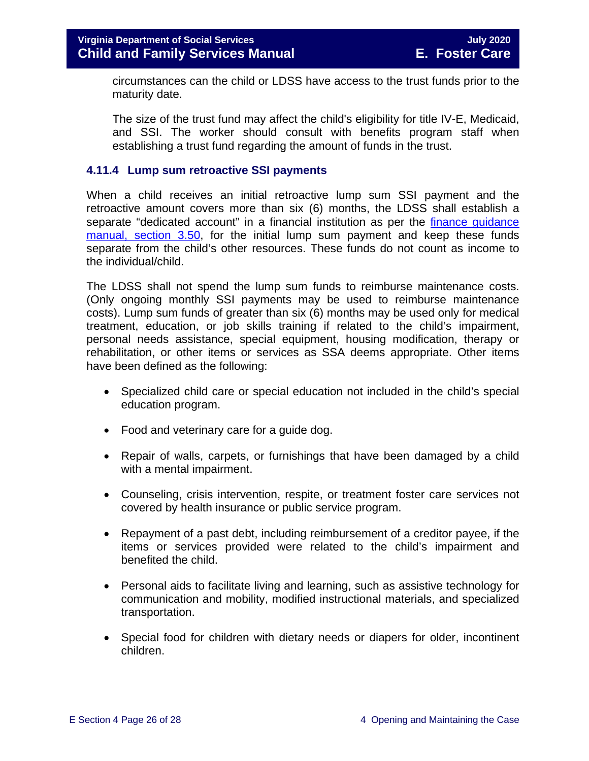circumstances can the child or LDSS have access to the trust funds prior to the maturity date.

The size of the trust fund may affect the child's eligibility for title IV-E, Medicaid, and SSI. The worker should consult with benefits program staff when establishing a trust fund regarding the amount of funds in the trust.

#### <span id="page-25-1"></span><span id="page-25-0"></span>**4.11.4 Lump sum retroactive SSI payments**

When a child receives an initial retroactive lump sum SSI payment and the retroactive amount covers more than six (6) months, the LDSS shall establish a separate "dedicated account" in a financial institution as per the finance guidance [manual, section 3.50,](https://fusion.dss.virginia.gov/dof/DOF-Home/LOCAL-RESOURCES/Local-Finance-Guidance-Manual) for the initial lump sum payment and keep these funds separate from the child's other resources. These funds do not count as income to the individual/child.

The LDSS shall not spend the lump sum funds to reimburse maintenance costs. (Only ongoing monthly SSI payments may be used to reimburse maintenance costs). Lump sum funds of greater than six (6) months may be used only for medical treatment, education, or job skills training if related to the child's impairment, personal needs assistance, special equipment, housing modification, therapy or rehabilitation, or other items or services as SSA deems appropriate. Other items have been defined as the following:

- Specialized child care or special education not included in the child's special education program.
- Food and veterinary care for a guide dog.
- Repair of walls, carpets, or furnishings that have been damaged by a child with a mental impairment.
- Counseling, crisis intervention, respite, or treatment foster care services not covered by health insurance or public service program.
- Repayment of a past debt, including reimbursement of a creditor payee, if the items or services provided were related to the child's impairment and benefited the child.
- Personal aids to facilitate living and learning, such as assistive technology for communication and mobility, modified instructional materials, and specialized transportation.
- Special food for children with dietary needs or diapers for older, incontinent children.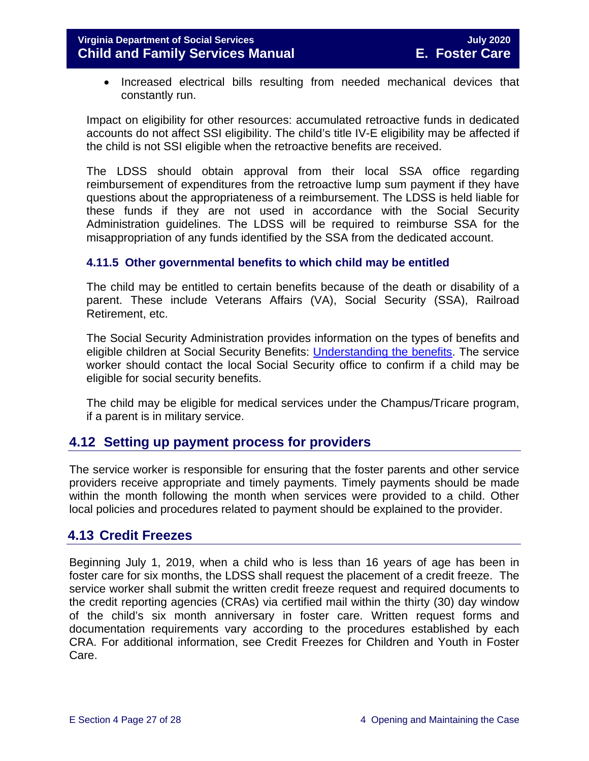• Increased electrical bills resulting from needed mechanical devices that constantly run.

Impact on eligibility for other resources: accumulated retroactive funds in dedicated accounts do not affect SSI eligibility. The child's title IV-E eligibility may be affected if the child is not SSI eligible when the retroactive benefits are received.

The LDSS should obtain approval from their local SSA office regarding reimbursement of expenditures from the retroactive lump sum payment if they have questions about the appropriateness of a reimbursement. The LDSS is held liable for these funds if they are not used in accordance with the Social Security Administration guidelines. The LDSS will be required to reimburse SSA for the misappropriation of any funds identified by the SSA from the dedicated account.

#### <span id="page-26-0"></span>**4.11.5 Other governmental benefits to which child may be entitled**

The child may be entitled to certain benefits because of the death or disability of a parent. These include Veterans Affairs (VA), Social Security (SSA), Railroad Retirement, etc.

The Social Security Administration provides information on the types of benefits and eligible children at Social Security Benefits: [Understanding the benefits.](https://www.ssa.gov/pubs/EN-05-10024.pdf) The service worker should contact the local Social Security office to confirm if a child may be eligible for social security benefits.

The child may be eligible for medical services under the Champus/Tricare program, if a parent is in military service.

## <span id="page-26-1"></span>**4.12 Setting up payment process for providers**

The service worker is responsible for ensuring that the foster parents and other service providers receive appropriate and timely payments. Timely payments should be made within the month following the month when services were provided to a child. Other local policies and procedures related to payment should be explained to the provider.

## <span id="page-26-2"></span>**4.13 Credit Freezes**

Beginning July 1, 2019, when a child who is less than 16 years of age has been in foster care for six months, the LDSS shall request the placement of a credit freeze. The service worker shall submit the written credit freeze request and required documents to the credit reporting agencies (CRAs) via certified mail within the thirty (30) day window of the child's six month anniversary in foster care. Written request forms and documentation requirements vary according to the procedures established by each CRA. For additional information, see Credit Freezes for Children and Youth in Foster Care.